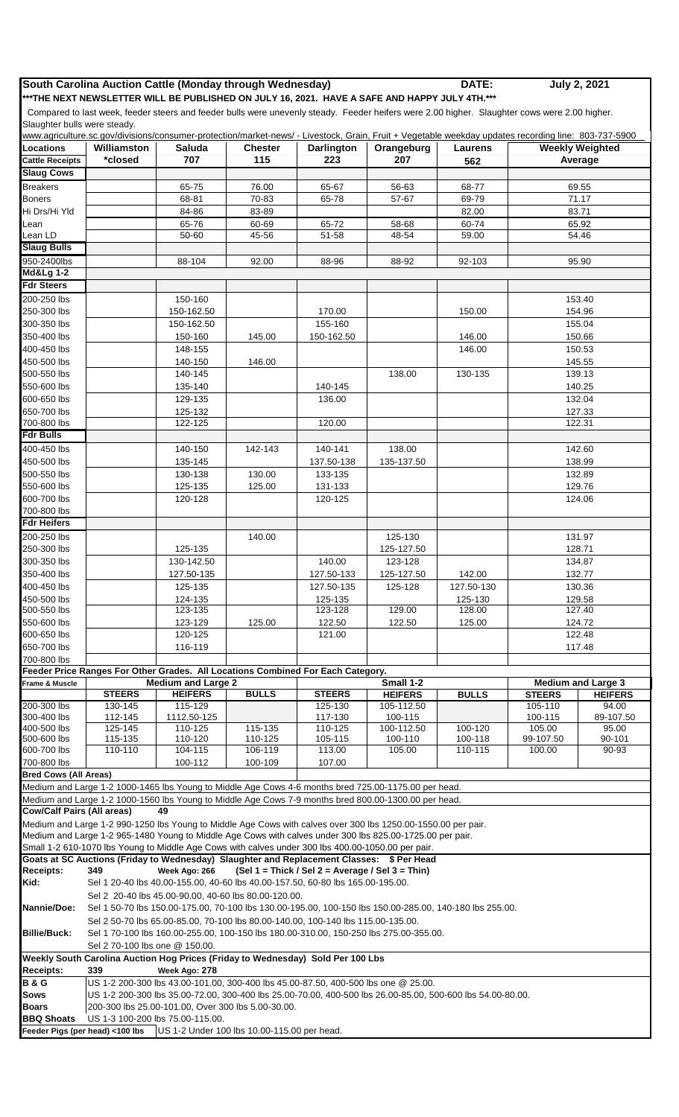## **South Carolina Auction Cattle (Monday through Wednesday) DATE:**

**July 2, 2021**

**\*\*\*THE NEXT NEWSLETTER WILL BE PUBLISHED ON JULY 16, 2021. HAVE A SAFE AND HAPPY JULY 4TH.\*\*\***

 Compared to last week, feeder steers and feeder bulls were unevenly steady. Feeder heifers were 2.00 higher. Slaughter cows were 2.00 higher. Slaughter bulls were steady.

|                                   |                                                                                                                                                                  |                                                                                  |                |                                                  | www.agriculture.sc.gov/divisions/consumer-protection/market-news/ - Livestock, Grain, Fruit + Vegetable weekday updates recording line: 803-737-5900 |                           |                   |                        |  |  |
|-----------------------------------|------------------------------------------------------------------------------------------------------------------------------------------------------------------|----------------------------------------------------------------------------------|----------------|--------------------------------------------------|------------------------------------------------------------------------------------------------------------------------------------------------------|---------------------------|-------------------|------------------------|--|--|
| <b>Locations</b>                  | Williamston                                                                                                                                                      | <b>Saluda</b>                                                                    | <b>Chester</b> | <b>Darlington</b>                                | Orangeburg                                                                                                                                           | <b>Laurens</b>            |                   | <b>Weekly Weighted</b> |  |  |
| <b>Cattle Receipts</b>            | *closed                                                                                                                                                          | 707                                                                              | 115            | 223                                              | 207                                                                                                                                                  | 562                       |                   | Average                |  |  |
| <b>Slaug Cows</b>                 |                                                                                                                                                                  |                                                                                  |                |                                                  |                                                                                                                                                      |                           |                   |                        |  |  |
| <b>Breakers</b>                   |                                                                                                                                                                  | 65-75                                                                            | 76.00          | 65-67                                            | 56-63                                                                                                                                                | 68-77                     |                   | 69.55                  |  |  |
| <b>Boners</b>                     |                                                                                                                                                                  | 68-81                                                                            | 70-83          | 65-78                                            | 57-67                                                                                                                                                | 69-79                     |                   | 71.17                  |  |  |
| Hi Drs/Hi Yld                     |                                                                                                                                                                  | 84-86                                                                            | 83-89          |                                                  |                                                                                                                                                      | 82.00                     | 83.71             |                        |  |  |
| Lean                              |                                                                                                                                                                  | 65-76                                                                            | 60-69          | 65-72                                            | 58-68                                                                                                                                                | 60-74                     |                   | 65.92                  |  |  |
| Lean LD<br><b>Slaug Bulls</b>     |                                                                                                                                                                  | 50-60                                                                            | 45-56          | 51-58                                            | 48-54                                                                                                                                                | 59.00                     |                   | 54.46                  |  |  |
| 950-2400lbs                       |                                                                                                                                                                  | 88-104                                                                           | 92.00          | 88-96                                            | 88-92                                                                                                                                                | 92-103                    |                   | 95.90                  |  |  |
| <b>Md&amp;Lg 1-2</b>              |                                                                                                                                                                  |                                                                                  |                |                                                  |                                                                                                                                                      |                           |                   |                        |  |  |
| <b>Fdr Steers</b>                 |                                                                                                                                                                  |                                                                                  |                |                                                  |                                                                                                                                                      |                           |                   |                        |  |  |
| 200-250 lbs                       |                                                                                                                                                                  | 150-160                                                                          |                |                                                  |                                                                                                                                                      |                           |                   | 153.40                 |  |  |
| 250-300 lbs                       |                                                                                                                                                                  | 150-162.50                                                                       |                | 170.00                                           |                                                                                                                                                      | 150.00                    |                   | 154.96                 |  |  |
| 300-350 lbs                       |                                                                                                                                                                  | 150-162.50                                                                       |                | 155-160                                          |                                                                                                                                                      |                           | 155.04            |                        |  |  |
| 350-400 lbs                       |                                                                                                                                                                  | 150-160                                                                          | 145.00         | 150-162.50                                       |                                                                                                                                                      | 146.00                    |                   | 150.66                 |  |  |
| 400-450 lbs                       |                                                                                                                                                                  | 148-155                                                                          |                |                                                  |                                                                                                                                                      | 146.00                    |                   | 150.53                 |  |  |
| 450-500 lbs                       |                                                                                                                                                                  | 140-150                                                                          | 146.00         |                                                  |                                                                                                                                                      |                           |                   | 145.55                 |  |  |
| 500-550 lbs                       |                                                                                                                                                                  | 140-145                                                                          |                |                                                  | 138.00                                                                                                                                               | 130-135                   |                   | 139.13                 |  |  |
| 550-600 lbs                       |                                                                                                                                                                  | 135-140                                                                          |                | 140-145                                          |                                                                                                                                                      |                           |                   | 140.25                 |  |  |
| 600-650 lbs                       |                                                                                                                                                                  | 129-135                                                                          |                | 136.00                                           |                                                                                                                                                      |                           |                   | 132.04                 |  |  |
| 650-700 lbs                       |                                                                                                                                                                  | 125-132                                                                          |                |                                                  |                                                                                                                                                      |                           | 127.33            |                        |  |  |
| 700-800 lbs                       |                                                                                                                                                                  | 122-125                                                                          |                | 120.00                                           |                                                                                                                                                      |                           |                   | 122.31                 |  |  |
| <b>Fdr Bulls</b>                  |                                                                                                                                                                  |                                                                                  |                |                                                  |                                                                                                                                                      |                           |                   |                        |  |  |
| 400-450 lbs                       |                                                                                                                                                                  | 140-150                                                                          | 142-143        | 140-141                                          | 138.00                                                                                                                                               |                           |                   | 142.60                 |  |  |
| 450-500 lbs<br>500-550 lbs        |                                                                                                                                                                  | 135-145<br>130-138                                                               | 130.00         | 137.50-138<br>133-135                            | 135-137.50                                                                                                                                           |                           | 138.99            |                        |  |  |
| 550-600 lbs                       |                                                                                                                                                                  | 125-135                                                                          | 125.00         | 131-133                                          |                                                                                                                                                      |                           | 132.89<br>129.76  |                        |  |  |
| 600-700 lbs                       |                                                                                                                                                                  | 120-128                                                                          |                | 120-125                                          |                                                                                                                                                      |                           | 124.06            |                        |  |  |
| 700-800 lbs                       |                                                                                                                                                                  |                                                                                  |                |                                                  |                                                                                                                                                      |                           |                   |                        |  |  |
| <b>Fdr Heifers</b>                |                                                                                                                                                                  |                                                                                  |                |                                                  |                                                                                                                                                      |                           |                   |                        |  |  |
| 200-250 lbs                       |                                                                                                                                                                  |                                                                                  | 140.00         |                                                  | 125-130                                                                                                                                              |                           |                   | 131.97                 |  |  |
| 250-300 lbs                       |                                                                                                                                                                  | 125-135                                                                          |                |                                                  | 125-127.50                                                                                                                                           |                           | 128.71            |                        |  |  |
| 300-350 lbs                       |                                                                                                                                                                  | 130-142.50                                                                       |                | 140.00                                           | 123-128                                                                                                                                              |                           | 134.87            |                        |  |  |
| 350-400 lbs                       |                                                                                                                                                                  | 127.50-135                                                                       |                | 127.50-133                                       | 125-127.50                                                                                                                                           | 142.00                    | 132.77            |                        |  |  |
| 400-450 lbs                       |                                                                                                                                                                  | 125-135                                                                          |                | 127.50-135                                       | 125-128                                                                                                                                              | 127.50-130                | 130.36            |                        |  |  |
| 450-500 lbs                       |                                                                                                                                                                  | 124-135                                                                          |                | 125-135                                          |                                                                                                                                                      | 125-130                   | 129.58<br>127.40  |                        |  |  |
| 500-550 lbs                       |                                                                                                                                                                  | 123-135                                                                          |                | 123-128                                          | 129.00                                                                                                                                               | 128.00                    |                   |                        |  |  |
| 550-600 lbs<br>600-650 lbs        |                                                                                                                                                                  | 123-129                                                                          | 125.00         | 122.50<br>121.00                                 | 122.50                                                                                                                                               | 125.00                    |                   | 124.72                 |  |  |
| 650-700 lbs                       |                                                                                                                                                                  | 120-125<br>116-119                                                               |                |                                                  |                                                                                                                                                      |                           |                   | 122.48<br>117.48       |  |  |
| 700-800 lbs                       |                                                                                                                                                                  |                                                                                  |                |                                                  |                                                                                                                                                      |                           |                   |                        |  |  |
|                                   | Feeder Price Ranges For Other Grades. All Locations Combined For Each Category.                                                                                  |                                                                                  |                |                                                  |                                                                                                                                                      |                           |                   |                        |  |  |
| Frame & Muscle                    |                                                                                                                                                                  | <b>Medium and Large 2</b>                                                        |                | Small 1-2                                        |                                                                                                                                                      | <b>Medium and Large 3</b> |                   |                        |  |  |
|                                   | <b>STEERS</b>                                                                                                                                                    | <b>HEIFERS</b>                                                                   | <b>BULLS</b>   | <b>STEERS</b>                                    | <b>HEIFERS</b>                                                                                                                                       | <b>BULLS</b>              | <b>STEERS</b>     | <b>HEIFERS</b>         |  |  |
| 200-300 lbs                       | 130-145                                                                                                                                                          | 115-129                                                                          |                | 125-130                                          | 105-112.50                                                                                                                                           |                           | 105-110           | 94.00                  |  |  |
| 300-400 lbs<br>400-500 lbs        | 112-145<br>125-145                                                                                                                                               | 1112.50-125<br>110-125                                                           | 115-135        | 117-130<br>110-125                               | 100-115<br>100-112.50                                                                                                                                | 100-120                   | 100-115<br>105.00 | 89-107.50<br>95.00     |  |  |
| 500-600 lbs                       | 115-135                                                                                                                                                          | 110-120                                                                          | 110-125        | 105-115                                          | 100-110                                                                                                                                              | 100-118                   | 99-107.50         | 90-101                 |  |  |
| 600-700 lbs                       | 110-110                                                                                                                                                          | 104-115                                                                          | 106-119        | 113.00                                           | 105.00                                                                                                                                               | 110-115                   | 100.00            | 90-93                  |  |  |
| 700-800 lbs                       |                                                                                                                                                                  | 100-112                                                                          | 100-109        | 107.00                                           |                                                                                                                                                      |                           |                   |                        |  |  |
| <b>Bred Cows (All Areas)</b>      |                                                                                                                                                                  |                                                                                  |                |                                                  |                                                                                                                                                      |                           |                   |                        |  |  |
|                                   |                                                                                                                                                                  |                                                                                  |                |                                                  | Medium and Large 1-2 1000-1465 lbs Young to Middle Age Cows 4-6 months bred 725.00-1175.00 per head.                                                 |                           |                   |                        |  |  |
|                                   |                                                                                                                                                                  |                                                                                  |                |                                                  | Medium and Large 1-2 1000-1560 lbs Young to Middle Age Cows 7-9 months bred 800.00-1300.00 per head.                                                 |                           |                   |                        |  |  |
| <b>Cow/Calf Pairs (All areas)</b> |                                                                                                                                                                  | 49                                                                               |                |                                                  |                                                                                                                                                      |                           |                   |                        |  |  |
|                                   |                                                                                                                                                                  |                                                                                  |                |                                                  | Medium and Large 1-2 990-1250 lbs Young to Middle Age Cows with calves over 300 lbs 1250.00-1550.00 per pair.                                        |                           |                   |                        |  |  |
|                                   | Small 1-2 610-1070 lbs Young to Middle Age Cows with calves under 300 lbs 400.00-1050.00 per pair.                                                               |                                                                                  |                |                                                  | Medium and Large 1-2 965-1480 Young to Middle Age Cows with calves under 300 lbs 825.00-1725.00 per pair.                                            |                           |                   |                        |  |  |
|                                   |                                                                                                                                                                  |                                                                                  |                |                                                  | Goats at SC Auctions (Friday to Wednesday) Slaughter and Replacement Classes: \$ Per Head                                                            |                           |                   |                        |  |  |
| <b>Receipts:</b>                  | 349                                                                                                                                                              | Week Ago: 266                                                                    |                | (Sel 1 = Thick / Sel 2 = Average / Sel 3 = Thin) |                                                                                                                                                      |                           |                   |                        |  |  |
| Kid:                              |                                                                                                                                                                  | Sel 1 20-40 lbs 40.00-155.00, 40-60 lbs 40.00-157.50, 60-80 lbs 165.00-195.00.   |                |                                                  |                                                                                                                                                      |                           |                   |                        |  |  |
|                                   |                                                                                                                                                                  | Sel 2 20-40 lbs 45.00-90.00, 40-60 lbs 80.00-120.00.                             |                |                                                  |                                                                                                                                                      |                           |                   |                        |  |  |
| <b>Nannie/Doe:</b>                |                                                                                                                                                                  |                                                                                  |                |                                                  | Sel 1 50-70 lbs 150.00-175.00, 70-100 lbs 130.00-195.00, 100-150 lbs 150.00-285.00, 140-180 lbs 255.00.                                              |                           |                   |                        |  |  |
|                                   |                                                                                                                                                                  | Sel 2 50-70 lbs 65.00-85.00, 70-100 lbs 80.00-140.00, 100-140 lbs 115.00-135.00. |                |                                                  |                                                                                                                                                      |                           |                   |                        |  |  |
| <b>Billie/Buck:</b>               | Sel 1 70-100 lbs 160.00-255.00, 100-150 lbs 180.00-310.00, 150-250 lbs 275.00-355.00.                                                                            |                                                                                  |                |                                                  |                                                                                                                                                      |                           |                   |                        |  |  |
|                                   | Sel 2 70-100 lbs one @ 150.00.                                                                                                                                   |                                                                                  |                |                                                  |                                                                                                                                                      |                           |                   |                        |  |  |
|                                   | Weekly South Carolina Auction Hog Prices (Friday to Wednesday) Sold Per 100 Lbs                                                                                  |                                                                                  |                |                                                  |                                                                                                                                                      |                           |                   |                        |  |  |
| <b>Receipts:</b>                  | 339                                                                                                                                                              | Week Ago: 278                                                                    |                |                                                  |                                                                                                                                                      |                           |                   |                        |  |  |
| <b>B&amp;G</b>                    | US 1-2 200-300 lbs 43.00-101.00, 300-400 lbs 45.00-87.50, 400-500 lbs one @ 25.00.                                                                               |                                                                                  |                |                                                  |                                                                                                                                                      |                           |                   |                        |  |  |
| <b>Sows</b><br><b>Boars</b>       | US 1-2 200-300 lbs 35.00-72.00, 300-400 lbs 25.00-70.00, 400-500 lbs 26.00-85.00, 500-600 lbs 54.00-80.00.<br>200-300 lbs 25.00-101.00, Over 300 lbs 5.00-30.00. |                                                                                  |                |                                                  |                                                                                                                                                      |                           |                   |                        |  |  |
| <b>BBQ Shoats</b>                 | US 1-3 100-200 lbs 75.00-115.00.                                                                                                                                 |                                                                                  |                |                                                  |                                                                                                                                                      |                           |                   |                        |  |  |
|                                   | Feeder Pigs (per head) <100 lbs US 1-2 Under 100 lbs 10.00-115.00 per head.                                                                                      |                                                                                  |                |                                                  |                                                                                                                                                      |                           |                   |                        |  |  |